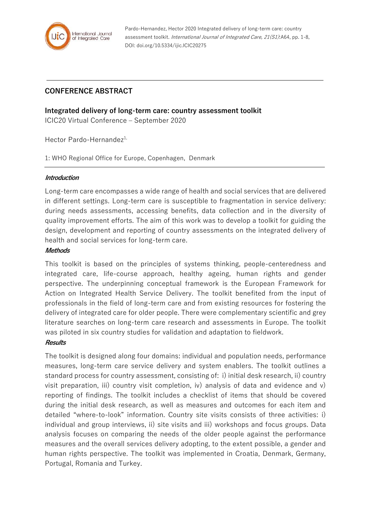

Pardo-Hernandez, Hector 2020 Integrated delivery of long-term care: country assessment toolkit. International Journal of Integrated Care, 21(S1):A64, pp. 1-8, DOI: doi.org/10.5334/ijic.ICIC20275

# **CONFERENCE ABSTRACT**

**Integrated delivery of long-term care: country assessment toolkit**

ICIC20 Virtual Conference – September 2020

Hector Pardo-Hernandez<sup>1,</sup>

1: WHO Regional Office for Europe, Copenhagen, Denmark

#### **Introduction**

Long-term care encompasses a wide range of health and social services that are delivered in different settings. Long-term care is susceptible to fragmentation in service delivery: during needs assessments, accessing benefits, data collection and in the diversity of quality improvement efforts. The aim of this work was to develop a toolkit for guiding the design, development and reporting of country assessments on the integrated delivery of health and social services for long-term care.

#### **Methods**

This toolkit is based on the principles of systems thinking, people-centeredness and integrated care, life-course approach, healthy ageing, human rights and gender perspective. The underpinning conceptual framework is the European Framework for Action on Integrated Health Service Delivery. The toolkit benefited from the input of professionals in the field of long-term care and from existing resources for fostering the delivery of integrated care for older people. There were complementary scientific and grey literature searches on long-term care research and assessments in Europe. The toolkit was piloted in six country studies for validation and adaptation to fieldwork.

#### **Results**

The toolkit is designed along four domains: individual and population needs, performance measures, long-term care service delivery and system enablers. The toolkit outlines a standard process for country assessment, consisting of: i) initial desk research, ii) country visit preparation, iii) country visit completion, iv) analysis of data and evidence and v) reporting of findings. The toolkit includes a checklist of items that should be covered during the initial desk research, as well as measures and outcomes for each item and detailed "where-to-look" information. Country site visits consists of three activities: i) individual and group interviews, ii) site visits and iii) workshops and focus groups. Data analysis focuses on comparing the needs of the older people against the performance measures and the overall services delivery adopting, to the extent possible, a gender and human rights perspective. The toolkit was implemented in Croatia, Denmark, Germany, Portugal, Romania and Turkey.